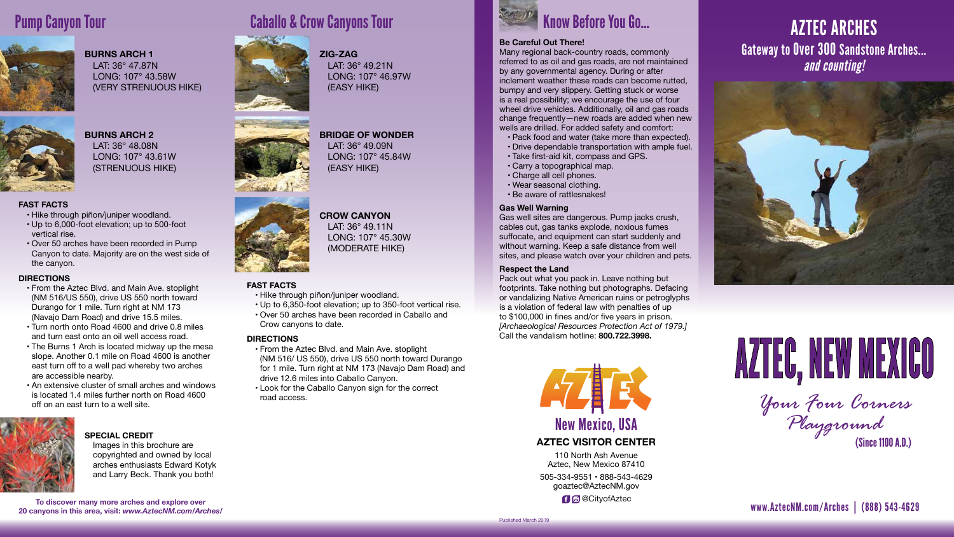#### **FAST FACTS**

- • Hike through piñon/juniper woodland.
- • Up to 6,000-foot elevation; up to 500-foot vertical rise.
- • Over 50 arches have been recorded in Pump Canyon to date. Majority are on the west side of the canyon.

#### **DIRECTIONS**

- • From the Aztec Blvd. and Main Ave. stoplight (NM 516/US 550), drive US 550 north toward Durango for 1 mile. Turn right at NM 173 (Navajo Dam Road) and drive 15.5 miles.
- • Turn north onto Road 4600 and drive 0.8 miles and turn east onto an oil well access road.
- The Burns 1 Arch is located midway up the mesa slope. Another 0.1 mile on Road 4600 is another east turn off to a well pad whereby two arches are accessible nearby.
- An extensive cluster of small arches and windows is located 1.4 miles further north on Road 4600 off on an east turn to a well site.



110 North Ash Avenue Aztec, New Mexico 87410 505-334-9551 • 888-543-4629 goaztec@AztecNM.gov **f @** @ CityofAztec

#### **FAST FACTS**

- • Hike through piñon/juniper woodland.
- • Up to 6,350-foot elevation; up to 350-foot vertical rise.
- • Over 50 arches have been recorded in Caballo and Crow canyons to date.

#### **DIRECTIONS**

- • From the Aztec Blvd. and Main Ave. stoplight (NM 516/ US 550), drive US 550 north toward Durango for 1 mile. Turn right at NM 173 (Navajo Dam Road) and drive 12.6 miles into Caballo Canyon.
- • Look for the Caballo Canyon sign for the correct road access.
- Pack food and water (take more than expected).
- • Drive dependable transportation with ample fuel.
- • Take first-aid kit, compass and GPS.
- • Carry a topographical map.
- • Charge all cell phones.
- • Wear seasonal clothing.
- • Be aware of rattlesnakes!

**AZTEC VISITOR CENTER**



# AZTEC ARCHES Gateway to Over 300 Sandstone Arches... *and counting!*



# AZTEC, NEW MEXICO

www.AztecNM.com/Arches | (888) 543-4629

*Your Four Corners Playground* (Since 1100 A.D.)

**To discover many more arches and explore over 20 canyons in this area, visit:** *www.AztecNM.com/Arches/*

# **Pump Canyon Tour Caballo & Crow Canyons Tour**



# Know Before You Go...

#### **Be Careful Out There!**

Many regional back-country roads, commonly referred to as oil and gas roads, are not maintained by any governmental agency. During or after inclement weather these roads can become rutted, bumpy and very slippery. Getting stuck or worse is a real possibility; we encourage the use of four wheel drive vehicles. Additionally, oil and gas roads change frequently—new roads are added when new wells are drilled. For added safety and comfort:

#### **Gas Well Warning**

Gas well sites are dangerous. Pump jacks crush, cables cut, gas tanks explode, noxious fumes suffocate, and equipment can start suddenly and without warning. Keep a safe distance from well sites, and please watch over your children and pets.

#### **Respect the Land**

Pack out what you pack in. Leave nothing but footprints. Take nothing but photographs. Defacing or vandalizing Native American ruins or petroglyphs is a violation of federal law with penalties of up to \$100,000 in fines and/or five years in prison. *[Archaeological Resources Protection Act of 1979.]*  Call the vandalism hotline: **800.722.3998.**



## **BURNS ARCH 1**

 LAT: 36° 47.87N LONG: 107° 43.58W (VERY STRENUOUS HIKE)



#### **ZIG-ZAG** LAT: 36° 49.21N LONG: 107° 46.97W (EASY HIKE)



#### **BURNS ARCH 2** LAT: 36° 48.08N LONG: 107° 43.61W (STRENUOUS HIKE)



**CROW CANYON**  LAT: 36° 49.11N LONG: 107° 45.30W (MODERATE HIKE)

#### **SPECIAL CREDIT**

 Images in this brochure are copyrighted and owned by local arches enthusiasts Edward Kotyk and Larry Beck. Thank you both!

Published March 2019